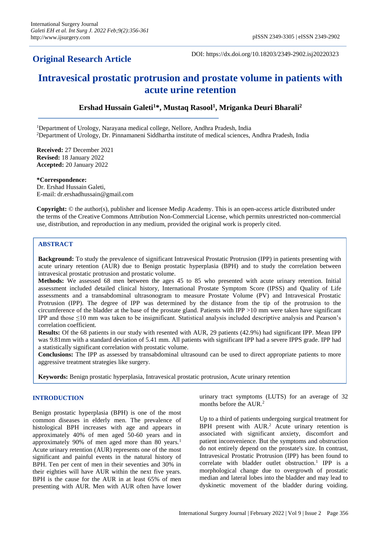# **Original Research Article**

DOI: https://dx.doi.org/10.18203/2349-2902.isj20220323

# **Intravesical prostatic protrusion and prostate volume in patients with acute urine retention**

**Ershad Hussain Galeti<sup>1</sup>\*, Mustaq Rasool<sup>1</sup> , Mriganka Deuri Bharali<sup>2</sup>**

<sup>1</sup>Department of Urology, Narayana medical college, Nellore, Andhra Pradesh, India <sup>2</sup>Department of Urology, Dr. Pinnamaneni Siddhartha institute of medical sciences, Andhra Pradesh, India

**Received:** 27 December 2021 **Revised:** 18 January 2022 **Accepted:** 20 January 2022

**\*Correspondence:** Dr. Ershad Hussain Galeti, E-mail: dr.ershadhussain@gmail.com

**Copyright:** © the author(s), publisher and licensee Medip Academy. This is an open-access article distributed under the terms of the Creative Commons Attribution Non-Commercial License, which permits unrestricted non-commercial use, distribution, and reproduction in any medium, provided the original work is properly cited.

# **ABSTRACT**

**Background:** To study the prevalence of significant Intravesical Prostatic Protrusion (IPP) in patients presenting with acute urinary retention (AUR) due to Benign prostatic hyperplasia (BPH) and to study the correlation between intravesical prostatic protrusion and prostatic volume.

**Methods:** We assessed 68 men between the ages 45 to 85 who presented with acute urinary retention. Initial assessment included detailed clinical history, International Prostate Symptom Score (IPSS) and Quality of Life assessments and a transabdominal ultrasonogram to measure Prostate Volume (PV) and Intravesical Prostatic Protrusion (IPP). The degree of IPP was determined by the distance from the tip of the protrusion to the circumference of the bladder at the base of the prostate gland. Patients with IPP >10 mm were taken have significant IPP and those ≤10 mm was taken to be insignificant. Statistical analysis included descriptive analysis and Pearson's correlation coefficient.

**Results:** Of the 68 patients in our study with resented with AUR, 29 patients (42.9%) had significant IPP. Mean IPP was 9.81mm with a standard deviation of 5.41 mm. All patients with significant IPP had a severe IPPS grade. IPP had a statistically significant correlation with prostatic volume.

**Conclusions:** The IPP as assessed by transabdominal ultrasound can be used to direct appropriate patients to more aggressive treatment strategies like surgery.

**Keywords:** Benign prostatic hyperplasia, Intravesical prostatic protrusion, Acute urinary retention

# **INTRODUCTION**

Benign prostatic hyperplasia (BPH) is one of the most common diseases in elderly men. The prevalence of histological BPH increases with age and appears in approximately 40% of men aged 50-60 years and in approximately 90% of men aged more than 80 years.<sup>1</sup> Acute urinary retention (AUR) represents one of the most significant and painful events in the natural history of BPH. Ten per cent of men in their seventies and 30% in their eighties will have AUR within the next five years. BPH is the cause for the AUR in at least 65% of men presenting with AUR. Men with AUR often have lower urinary tract symptoms (LUTS) for an average of 32 months before the AUR.<sup>2</sup>

Up to a third of patients undergoing surgical treatment for BPH present with AUR.<sup>2</sup> Acute urinary retention is associated with significant anxiety, discomfort and patient inconvenience. But the symptoms and obstruction do not entirely depend on the prostate's size. In contrast, Intravesical Prostatic Protrusion (IPP) has been found to correlate with bladder outlet obstruction.<sup>1</sup> IPP is a morphological change due to overgrowth of prostatic median and lateral lobes into the bladder and may lead to dyskinetic movement of the bladder during voiding.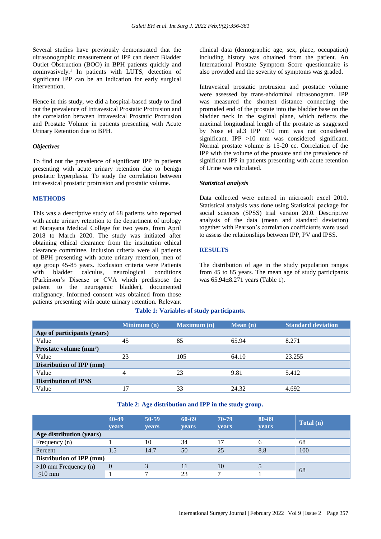Several studies have previously demonstrated that the ultrasonographic measurement of IPP can detect Bladder Outlet Obstruction (BOO) in BPH patients quickly and noninvasively.<sup>1</sup> In patients with LUTS, detection of significant IPP can be an indication for early surgical intervention.

Hence in this study, we did a hospital-based study to find out the prevalence of Intravesical Prostatic Protrusion and the correlation between Intravesical Prostatic Protrusion and Prostate Volume in patients presenting with Acute Urinary Retention due to BPH.

#### *Objectives*

To find out the prevalence of significant IPP in patients presenting with acute urinary retention due to benign prostatic hyperplasia. To study the correlation between intravesical prostatic protrusion and prostatic volume.

#### **METHODS**

This was a descriptive study of 68 patients who reported with acute urinary retention to the department of urology at Narayana Medical College for two years, from April 2018 to March 2020. The study was initiated after obtaining ethical clearance from the institution ethical clearance committee. Inclusion criteria were all patients of BPH presenting with acute urinary retention, men of age group 45-85 years. Exclusion criteria were Patients with bladder calculus, neurological conditions (Parkinson's Disease or CVA which predispose the patient to the neurogenic bladder), documented malignancy. Informed consent was obtained from those patients presenting with acute urinary retention. Relevant clinical data (demographic age, sex, place, occupation) including history was obtained from the patient. An International Prostate Symptom Score questionnaire is also provided and the severity of symptoms was graded.

Intravesical prostatic protrusion and prostatic volume were assessed by trans-abdominal ultrasonogram. IPP was measured the shortest distance connecting the protruded end of the prostate into the bladder base on the bladder neck in the sagittal plane, which reflects the maximal longitudinal length of the prostate as suggested by Nose et al.3 IPP <10 mm was not considered significant. IPP >10 mm was considered significant. Normal prostate volume is 15-20 cc. Correlation of the IPP with the volume of the prostate and the prevalence of significant IPP in patients presenting with acute retention of Urine was calculated.

#### *Statistical analysis*

Data collected were entered in microsoft excel 2010. Statistical analysis was done using Statistical package for social sciences (SPSS) trial version 20.0. Descriptive analysis of the data (mean and standard deviation) together with Pearson's correlation coefficients were used to assess the relationships between IPP, PV and IPSS.

# **RESULTS**

The distribution of age in the study population ranges from 45 to 85 years. The mean age of study participants was 65.94±8.271 years (Table 1).

|                             | Minimum(n) | <b>Maximum</b> (n) | Mean(n) | <b>Standard deviation</b> |
|-----------------------------|------------|--------------------|---------|---------------------------|
| Age of participants (years) |            |                    |         |                           |
| Value                       | 45         | 85                 | 65.94   | 8.271                     |
| Prostate volume $(mm3)$     |            |                    |         |                           |
| Value                       | 23         | 105                | 64.10   | 23.255                    |
| Distribution of IPP (mm)    |            |                    |         |                           |
| Value                       | 4          | 23                 | 9.81    | 5.412                     |
| <b>Distribution of IPSS</b> |            |                    |         |                           |
| Value                       | 7          | 33                 | 24.32   | 4.692                     |

#### **Table 2: Age distribution and IPP in the study group.**

|                          | 40-49<br><b>vears</b> | $50 - 59$<br><b>vears</b> | 60-69<br>years | 70-79<br><b>vears</b> | 80-89<br><b>years</b> | Total (n) |
|--------------------------|-----------------------|---------------------------|----------------|-----------------------|-----------------------|-----------|
| Age distribution (years) |                       |                           |                |                       |                       |           |
| Frequency (n)            |                       | 10                        | 34             | 17                    |                       | 68        |
| Percent                  |                       | 14.7                      | 50             | 25                    | 8.8                   | 100       |
| Distribution of IPP (mm) |                       |                           |                |                       |                       |           |
| $>10$ mm Frequency (n)   |                       | 3                         |                | 10                    |                       |           |
| $\leq$ 10 mm             |                       |                           | 23             |                       |                       | 68        |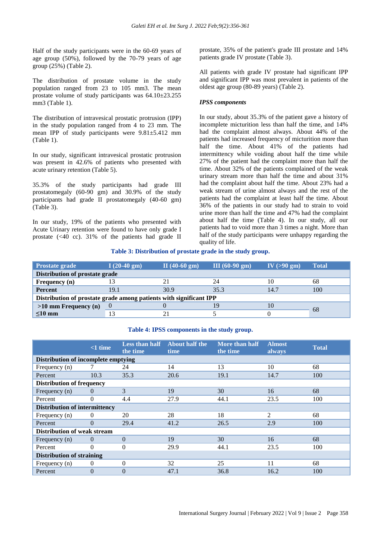Half of the study participants were in the 60-69 years of age group (50%), followed by the 70-79 years of age group (25%) (Table 2).

The distribution of prostate volume in the study population ranged from 23 to 105 mm3. The mean prostate volume of study participants was 64.10±23.255 mm3 (Table 1).

The distribution of intravesical prostatic protrusion (IPP) in the study population ranged from 4 to 23 mm. The mean IPP of study participants were 9.81±5.412 mm (Table 1).

In our study, significant intravesical prostatic protrusion was present in 42.6% of patients who presented with acute urinary retention (Table 5).

35.3% of the study participants had grade III prostatomegaly (60-90 gm) and 30.9% of the study participants had grade II prostatomegaly (40-60 gm) (Table 3).

In our study, 19% of the patients who presented with Acute Urinary retention were found to have only grade I prostate (<40 cc). 31% of the patients had grade II prostate, 35% of the patient's grade III prostate and 14% patients grade IV prostate (Table 3).

All patients with grade IV prostate had significant IPP and significant IPP was most prevalent in patients of the oldest age group (80-89 years) (Table 2).

# *IPSS components*

In our study, about 35.3% of the patient gave a history of incomplete micturition less than half the time, and 14% had the complaint almost always. About 44% of the patients had increased frequency of micturition more than half the time. About 41% of the patients had intermittency while voiding about half the time while 27% of the patient had the complaint more than half the time. About 32% of the patients complained of the weak urinary stream more than half the time and about 31% had the complaint about half the time. About 23% had a weak stream of urine almost always and the rest of the patients had the complaint at least half the time. About 36% of the patients in our study had to strain to void urine more than half the time and 47% had the complaint about half the time (Table 4). In our study, all our patients had to void more than 3 times a night. More than half of the study participants were unhappy regarding the quality of life.

# **Table 3: Distribution of prostate grade in the study group.**

| <b>Prostate grade</b>                                              | $I(20-40 gm)$                  | II $(40-60 \text{ gm})$ | $III(60-90 gm)$ | IV $(>90 \text{ gm})$ | <b>Total</b> |  |
|--------------------------------------------------------------------|--------------------------------|-------------------------|-----------------|-----------------------|--------------|--|
|                                                                    | Distribution of prostate grade |                         |                 |                       |              |  |
| Frequency (n)                                                      |                                |                         | 24              | 10                    | 68           |  |
| <b>Percent</b>                                                     | 19.1                           | 30.9                    | 35.3            | 14.7                  | 100          |  |
| Distribution of prostate grade among patients with significant IPP |                                |                         |                 |                       |              |  |
| $>10$ mm Frequency (n)                                             |                                |                         |                 | 10                    |              |  |
| $\leq 10$ mm                                                       | 13                             |                         |                 |                       | 68           |  |

# **Table 4: IPSS components in the study group.**

|                                            | $<1$ time | Less than half<br>the time | <b>About half the</b><br>time | More than half<br>the time | <b>Almost</b><br>always | <b>Total</b> |
|--------------------------------------------|-----------|----------------------------|-------------------------------|----------------------------|-------------------------|--------------|
| <b>Distribution of incomplete emptying</b> |           |                            |                               |                            |                         |              |
| Frequency (n)                              |           | 24                         | 14                            | 13                         | 10                      | 68           |
| Percent                                    | 10.3      | 35.3                       | 20.6                          | 19.1                       | 14.7                    | 100          |
| <b>Distribution of frequency</b>           |           |                            |                               |                            |                         |              |
| Frequency (n)                              | $\Omega$  | 3                          | 19                            | 30                         | 16                      | 68           |
| Percent                                    | $\theta$  | 4.4                        | 27.9                          | 44.1                       | 23.5                    | 100          |
| <b>Distribution of intermittency</b>       |           |                            |                               |                            |                         |              |
| Frequency (n)                              | 0         | 20                         | 28                            | 18                         | 2                       | 68           |
| Percent                                    | $\Omega$  | 29.4                       | 41.2                          | 26.5                       | 2.9                     | 100          |
| <b>Distribution of weak stream</b>         |           |                            |                               |                            |                         |              |
| Frequency (n)                              | $\Omega$  | $\theta$                   | 19                            | 30                         | 16                      | 68           |
| Percent                                    | $\Omega$  | $\Omega$                   | 29.9                          | 44.1                       | 23.5                    | 100          |
| <b>Distribution of straining</b>           |           |                            |                               |                            |                         |              |
| Frequency (n)                              | 0         | $\Omega$                   | 32                            | 25                         | 11                      | 68           |
| Percent                                    | $\theta$  | $\Omega$                   | 47.1                          | 36.8                       | 16.2                    | 100          |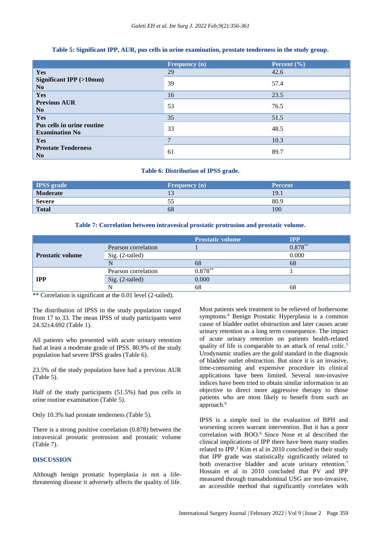|                                                     | <b>Frequency</b> (n) | Percent $(\% )$ |
|-----------------------------------------------------|----------------------|-----------------|
| <b>Yes</b>                                          | 29                   | 42.6            |
| <b>Significant IPP</b> (>10mm)<br>N <sub>0</sub>    | 39                   | 57.4            |
| Yes                                                 | 16                   | 23.5            |
| <b>Previous AUR</b><br>N <sub>0</sub>               | 53                   | 76.5            |
| Yes                                                 | 35                   | 51.5            |
| Pus cells in urine routine<br><b>Examination No</b> | 33                   | 48.5            |
| <b>Yes</b>                                          | $\overline{7}$       | 10.3            |
| <b>Prostate Tenderness</b><br>N <sub>0</sub>        | 61                   | 89.7            |

# **Table 5: Significant IPP, AUR, pus cells in urine examination, prostate tenderness in the study group.**

# **Table 6: Distribution of IPSS grade.**

| <b>IPSS</b> grade | Frequency $(n)$ | <b>Percent</b> |
|-------------------|-----------------|----------------|
| Moderate          |                 | 19.1           |
| Severe            | ככ              | 80.9           |
| <b>Total</b>      | 68              | 100            |

#### **Table 7: Correlation between intravesical prostatic protrusion and prostatic volume.**

|                         |                     | <b>Prostatic volume</b> | <b>IPP</b> |
|-------------------------|---------------------|-------------------------|------------|
|                         | Pearson correlation |                         | $0.878**$  |
| <b>Prostatic volume</b> | Sig. (2-tailed)     |                         | 0.000      |
|                         |                     | 68                      | 68         |
| <b>IPP</b>              | Pearson correlation | $0.878**$               |            |
|                         | Sig. (2-tailed)     | 0.000                   |            |
|                         |                     | 68                      | 68         |

\*\* Correlation is significant at the 0.01 level (2-tailed).

The distribution of IPSS in the study population ranged from 17 to 33. The mean IPSS of study participants were 24.32±4.692 (Table 1).

All patients who presented with acute urinary retention had at least a moderate grade of IPSS. 80.9% of the study population had severe IPSS grades (Table 6).

23.5% of the study population have had a previous AUR (Table 5).

Half of the study participants (51.5%) had pus cells in urine routine examination (Table 5).

Only 10.3% had prostate tenderness (Table 5).

There is a strong positive correlation (0.878) between the intravesical prostatic protrusion and prostatic volume (Table 7).

#### **DISCUSSION**

Although benign prostatic hyperplasia is not a lifethreatening disease it adversely affects the quality of life. Most patients seek treatment to be relieved of bothersome symptoms.<sup>4</sup> Benign Prostatic Hyperplasia is a common cause of bladder outlet obstruction and later causes acute urinary retention as a long term consequence. The impact of acute urinary retention on patients health-related quality of life is comparable to an attack of renal colic.<sup>5</sup> Urodynamic studies are the gold standard in the diagnosis of bladder outlet obstruction. But since it is an invasive, time-consuming and expensive procedure its clinical applications have been limited. Several non-invasive indices have been tried to obtain similar information in an objective to direct more aggressive therapy to those patients who are most likely to benefit from such an approach.<sup>6</sup>

IPSS is a simple tool in the evaluation of BPH and worsening scores warrant intervention. But it has a poor correlation with BOO.<sup>6</sup> Since Nose et al described the clinical implications of IPP there have been many studies related to IPP.<sup>3</sup> Kim et al in 2010 concluded in their study that IPP grade was statistically significantly related to both overactive bladder and acute urinary retention.<sup>7</sup> Hossain et al in 2010 concluded that PV and IPP measured through transabdominal USG are non-invasive, an accessible method that significantly correlates with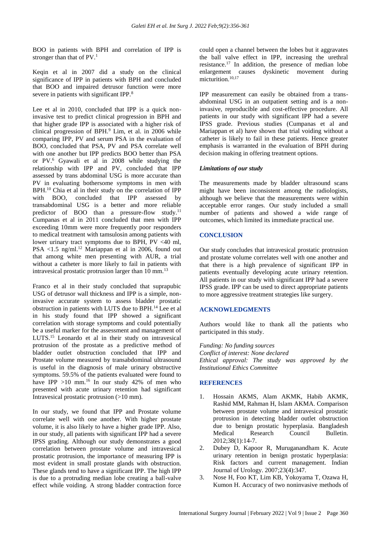BOO in patients with BPH and correlation of IPP is stronger than that of PV.<sup>1</sup>

Keqin et al in 2007 did a study on the clinical significance of IPP in patients with BPH and concluded that BOO and impaired detrusor function were more severe in patients with significant IPP.<sup>8</sup>

Lee et al in 2010, concluded that IPP is a quick noninvasive test to predict clinical progression in BPH and that higher grade IPP is associated with a higher risk of clinical progression of BPH.<sup>9</sup> Lim, et al. in 2006 while comparing IPP, PV and serum PSA in the evaluation of BOO, concluded that PSA, PV and PSA correlate well with one another but IPP predicts BOO better than PSA or PV.<sup>6</sup> Gyawali et al in 2008 while studying the relationship with IPP and PV, concluded that IPP assessed by trans abdominal USG is more accurate than PV in evaluating bothersome symptoms in men with BPH.<sup>10</sup> Chia et al in their study on the correlation of IPP with BOO, concluded that IPP assessed by transabdominal USG is a better and more reliable predictor of BOO than a pressure-flow study.<sup>11</sup> Cumpanas et al in 2011 concluded that men with IPP exceeding 10mm were more frequently poor responders to medical treatment with tamsulosin among patients with lower urinary tract symptoms due to BPH,  $PV < 40$  ml, PSA <1.5 ng/ml.<sup>12</sup> Mariappan et al in 2006, found out that among white men presenting with AUR, a trial without a catheter is more likely to fail in patients with intravesical prostatic protrusion larger than 10 mm.<sup>13</sup>

Franco et al in their study concluded that suprapubic USG of detrusor wall thickness and IPP is a simple, noninvasive accurate system to assess bladder prostatic obstruction in patients with LUTS due to BPH.<sup>14</sup> Lee et al in his study found that IPP showed a significant correlation with storage symptoms and could potentially be a useful marker for the assessment and management of LUTS.<sup>15</sup> Leonardo et al in their study on intravesical protrusion of the prostate as a predictive method of bladder outlet obstruction concluded that IPP and Prostate volume measured by transabdominal ultrasound is useful in the diagnosis of male urinary obstructive symptoms. 59.5% of the patients evaluated were found to have IPP  $>10$  mm.<sup>16</sup> In our study 42% of men who presented with acute urinary retention had significant Intravesical prostatic protrusion (>10 mm).

In our study, we found that IPP and Prostate volume correlate well with one another. With higher prostate volume, it is also likely to have a higher grade IPP. Also, in our study, all patients with significant IPP had a severe IPSS grading. Although our study demonstrates a good correlation between prostate volume and intravesical prostatic protrusion, the importance of measuring IPP is most evident in small prostate glands with obstruction. These glands tend to have a significant IPP. The high IPP is due to a protruding median lobe creating a ball-valve effect while voiding. A strong bladder contraction force

could open a channel between the lobes but it aggravates the ball valve effect in IPP, increasing the urethral resistance.<sup>17</sup> In addition, the presence of median lobe enlargement causes dyskinetic movement during micturition.<sup>10,17</sup>

IPP measurement can easily be obtained from a transabdominal USG in an outpatient setting and is a noninvasive, reproducible and cost-effective procedure. All patients in our study with significant IPP had a severe IPSS grade. Previous studies (Cumpanas et al and Mariappan et al) have shown that trial voiding without a catheter is likely to fail in these patients. Hence greater emphasis is warranted in the evaluation of BPH during decision making in offering treatment options.

#### *Limitations of our study*

The measurements made by bladder ultrasound scans might have been inconsistent among the radiologists, although we believe that the measurements were within acceptable error ranges. Our study included a small number of patients and showed a wide range of outcomes, which limited its immediate practical use.

# **CONCLUSION**

Our study concludes that intravesical prostatic protrusion and prostate volume correlates well with one another and that there is a high prevalence of significant IPP in patients eventually developing acute urinary retention. All patients in our study with significant IPP had a severe IPSS grade. IPP can be used to direct appropriate patients to more aggressive treatment strategies like surgery.

# **ACKNOWLEDGMENTS**

Authors would like to thank all the patients who participated in this study.

*Funding: No funding sources Conflict of interest: None declared Ethical approval: The study was approved by the Institutional Ethics Committee*

# **REFERENCES**

- 1. Hossain AKMS, Alam AKMK, Habib AKMK, Rashid MM, Rahman H, Islam AKMA. Comparison between prostate volume and intravesical prostatic protrusion in detecting bladder outlet obstruction due to benign prostatic hyperplasia. Bangladesh Medical Research Council Bulletin. 2012;38(1):14-7.
- 2. Dubey D, Kapoor R, Muruganandham K. Acute urinary retention in benign prostatic hyperplasia: Risk factors and current management. Indian Journal of Urology. 2007;23(4):347.
- 3. Nose H, Foo KT, Lim KB, Yokoyama T, Ozawa H, Kumon H. Accuracy of two noninvasive methods of